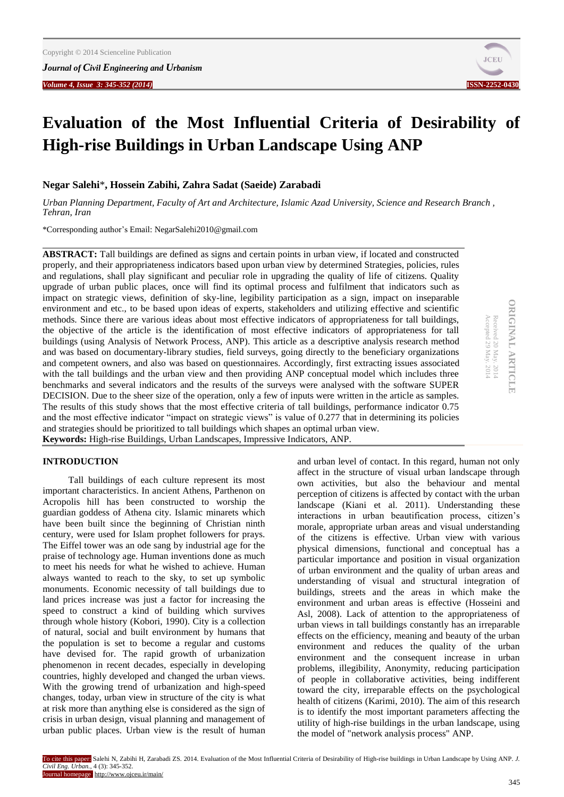*Volume 4, Issue 3: 345-352 (2014)* **ISSN-2252-0430**



# **Evaluation of the Most Influential Criteria of Desirability of High-rise Buildings in Urban Landscape Using ANP**

# **Negar Salehi**\***, Hossein Zabihi, Zahra Sadat (Saeide) Zarabadi**

*Urban Planning Department, Faculty of Art and Architecture, Islamic Azad University, Science and Research Branch , Tehran, Iran*

\*Corresponding author's Email: NegarSalehi2010@gmail.com

**ABSTRACT:** Tall buildings are defined as signs and certain points in urban view, if located and constructed properly, and their appropriateness indicators based upon urban view by determined Strategies, policies, rules and regulations, shall play significant and peculiar role in upgrading the quality of life of citizens. Quality upgrade of urban public places, once will find its optimal process and fulfilment that indicators such as impact on strategic views, definition of sky-line, legibility participation as a sign, impact on inseparable environment and etc., to be based upon ideas of experts, stakeholders and utilizing effective and scientific methods. Since there are various ideas about most effective indicators of appropriateness for tall buildings, the objective of the article is the identification of most effective indicators of appropriateness for tall buildings (using Analysis of Network Process, ANP). This article as a descriptive analysis research method and was based on documentary-library studies, field surveys, going directly to the beneficiary organizations and competent owners, and also was based on questionnaires. Accordingly, first extracting issues associated with the tall buildings and the urban view and then providing ANP conceptual model which includes three benchmarks and several indicators and the results of the surveys were analysed with the software SUPER DECISION. Due to the sheer size of the operation, only a few of inputs were written in the article as samples. The results of this study shows that the most effective criteria of tall buildings, performance indicator 0.75 and the most effective indicator "impact on strategic views" is value of 0.277 that in determining its policies and strategies should be prioritized to tall buildings which shapes an optimal urban view. **Keywords:** High-rise Buildings, Urban Landscapes, Impressive Indicators, ANP.

# **ORIGINAL ARTICLE ORIGINAL ARTICLE** Received 20 May. 2014<br>Accepted 29 May. 2014 Received 20 May. 2014

Accepted 29 May. 2014

## **INTRODUCTION**

Tall buildings of each culture represent its most important characteristics. In ancient Athens, Parthenon on Acropolis hill has been constructed to worship the guardian goddess of Athena city. Islamic minarets which have been built since the beginning of Christian ninth century, were used for Islam prophet followers for prays. The Eiffel tower was an ode sang by industrial age for the praise of technology age. Human inventions done as much to meet his needs for what he wished to achieve. Human always wanted to reach to the sky, to set up symbolic monuments. Economic necessity of tall buildings due to land prices increase was just a factor for increasing the speed to construct a kind of building which survives through whole history (Kobori, 1990). City is a collection of natural, social and built environment by humans that the population is set to become a regular and customs have devised for. The rapid growth of urbanization phenomenon in recent decades, especially in developing countries, highly developed and changed the urban views. With the growing trend of urbanization and high-speed changes, today, urban view in structure of the city is what at risk more than anything else is considered as the sign of crisis in urban design, visual planning and management of urban public places. Urban view is the result of human and urban level of contact. In this regard, human not only affect in the structure of visual urban landscape through own activities, but also the behaviour and mental perception of citizens is affected by contact with the urban landscape (Kiani et al. 2011). Understanding these interactions in urban beautification process, citizen's morale, appropriate urban areas and visual understanding of the citizens is effective. Urban view with various physical dimensions, functional and conceptual has a particular importance and position in visual organization of urban environment and the quality of urban areas and understanding of visual and structural integration of buildings, streets and the areas in which make the environment and urban areas is effective (Hosseini and Asl, 2008). Lack of attention to the appropriateness of urban views in tall buildings constantly has an irreparable effects on the efficiency, meaning and beauty of the urban environment and reduces the quality of the urban environment and the consequent increase in urban problems, illegibility, Anonymity, reducing participation of people in collaborative activities, being indifferent toward the city, irreparable effects on the psychological health of citizens (Karimi, 2010). The aim of this research is to identify the most important parameters affecting the utility of high-rise buildings in the urban landscape, using the model of "network analysis process" ANP.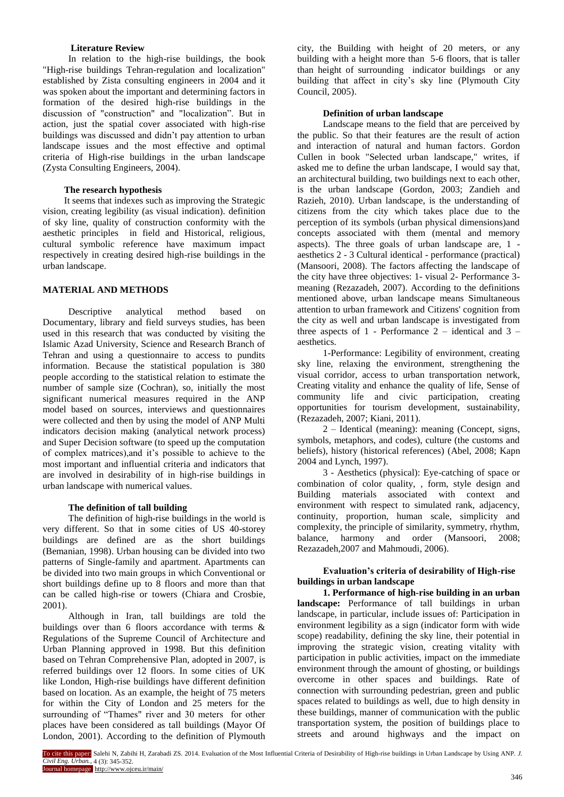#### **Literature Review**

In relation to the high-rise buildings, the book "High-rise buildings Tehran-regulation and localization" established by Zista consulting engineers in 2004 and it was spoken about the important and determining factors in formation of the desired high-rise buildings in the discussion of "construction" and "localization". But in action, just the spatial cover associated with high-rise buildings was discussed and didn't pay attention to urban landscape issues and the most effective and optimal criteria of High-rise buildings in the urban landscape (Zysta Consulting Engineers, 2004).

#### **The research hypothesis**

It seems that indexes such as improving the Strategic vision, creating legibility (as visual indication). definition of sky line, quality of construction conformity with the aesthetic principles in field and Historical, religious, cultural symbolic reference have maximum impact respectively in creating desired high-rise buildings in the urban landscape.

## **MATERIAL AND METHODS**

Descriptive analytical method based on Documentary, library and field surveys studies, has been used in this research that was conducted by visiting the Islamic Azad University, Science and Research Branch of Tehran and using a questionnaire to access to pundits information. Because the statistical population is 380 people according to the statistical relation to estimate the number of sample size (Cochran), so, initially the most significant numerical measures required in the ANP model based on sources, interviews and questionnaires were collected and then by using the model of ANP Multi indicators decision making (analytical network process) and Super Decision software (to speed up the computation of complex matrices),and it's possible to achieve to the most important and influential criteria and indicators that are involved in desirability of in high-rise buildings in urban landscape with numerical values.

#### **The definition of tall building**

The definition of high-rise buildings in the world is very different. So that in some cities of US 40-storey buildings are defined are as the short buildings (Bemanian, 1998). Urban housing can be divided into two patterns of Single-family and apartment. Apartments can be divided into two main groups in which Conventional or short buildings define up to 8 floors and more than that can be called high-rise or towers (Chiara and Crosbie, 2001).

Although in Iran, tall buildings are told the buildings over than 6 floors accordance with terms & Regulations of the Supreme Council of Architecture and Urban Planning approved in 1998. But this definition based on Tehran Comprehensive Plan, adopted in 2007, is referred buildings over 12 floors. In some cities of UK like London, High-rise buildings have different definition based on location. As an example, the height of 75 meters for within the City of London and 25 meters for the surrounding of "Thames" river and 30 meters for other places have been considered as tall buildings (Mayor Of London, 2001). According to the definition of Plymouth

city, the Building with height of 20 meters, or any building with a height more than 5-6 floors, that is taller than height of surrounding indicator buildings or any building that affect in city's sky line (Plymouth City Council, 2005).

#### **Definition of urban landscape**

Landscape means to the field that are perceived by the public. So that their features are the result of action and interaction of natural and human factors. Gordon Cullen in book "Selected urban landscape," writes, if asked me to define the urban landscape, I would say that, an architectural building, two buildings next to each other, is the urban landscape (Gordon, 2003; Zandieh and Razieh, 2010). Urban landscape, is the understanding of citizens from the city which takes place due to the perception of its symbols (urban physical dimensions)and concepts associated with them (mental and memory aspects). The three goals of urban landscape are, 1 aesthetics 2 - 3 Cultural identical - performance (practical) (Mansoori, 2008). The factors affecting the landscape of the city have three objectives: 1- visual 2- Performance 3 meaning (Rezazadeh, 2007). According to the definitions mentioned above, urban landscape means Simultaneous attention to urban framework and Citizens' cognition from the city as well and urban landscape is investigated from three aspects of 1 - Performance  $2$  – identical and  $3$  – aesthetics.

1-Performance: Legibility of environment, creating sky line, relaxing the environment, strengthening the visual corridor, access to urban transportation network, Creating vitality and enhance the quality of life, Sense of community life and civic participation, creating opportunities for tourism development, sustainability, (Rezazadeh, 2007; Kiani, 2011).

2 – Identical (meaning): meaning (Concept, signs, symbols, metaphors, and codes), culture (the customs and beliefs), history (historical references) (Abel, 2008; Kapn 2004 and Lynch, 1997).

3 - Aesthetics (physical): Eye-catching of space or combination of color quality, , form, style design and Building materials associated with context and environment with respect to simulated rank, adjacency, continuity, proportion, human scale, simplicity and complexity, the principle of similarity, symmetry, rhythm, balance, harmony and order (Mansoori, 2008; Rezazadeh,2007 and Mahmoudi, 2006).

## **Evaluation's criteria of desirability of High-rise buildings in urban landscape**

**1. Performance of high-rise building in an urban landscape:** Performance of tall buildings in urban landscape, in particular, include issues of: Participation in environment legibility as a sign (indicator form with wide scope) readability, defining the sky line, their potential in improving the strategic vision, creating vitality with participation in public activities, impact on the immediate environment through the amount of ghosting, or buildings overcome in other spaces and buildings. Rate of connection with surrounding pedestrian, green and public spaces related to buildings as well, due to high density in these buildings, manner of communication with the public transportation system, the position of buildings place to streets and around highways and the impact on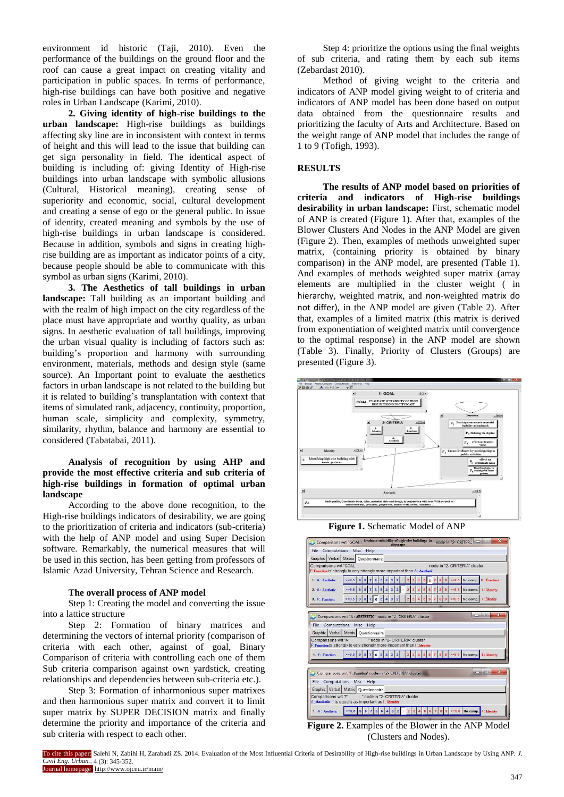environment id historic (Taji, 2010). Even the performance of the buildings on the ground floor and the roof can cause a great impact on creating vitality and participation in public spaces. In terms of performance, high-rise buildings can have both positive and negative roles in Urban Landscape (Karimi, 2010).

**2. Giving identity of high-rise buildings to the urban landscape:** High-rise buildings as buildings affecting sky line are in inconsistent with context in terms of height and this will lead to the issue that building can get sign personality in field. The identical aspect of building is including of: giving Identity of High-rise buildings into urban landscape with symbolic allusions (Cultural, Historical meaning), creating sense of superiority and economic, social, cultural development and creating a sense of ego or the general public. In issue of identity, created meaning and symbols by the use of high-rise buildings in urban landscape is considered. Because in addition, symbols and signs in creating highrise building are as important as indicator points of a city, because people should be able to communicate with this symbol as urban signs (Karimi, 2010).

**3. The Aesthetics of tall buildings in urban landscape:** Tall building as an important building and with the realm of high impact on the city regardless of the place must have appropriate and worthy quality, as urban signs. In aesthetic evaluation of tall buildings, improving the urban visual quality is including of factors such as: building's proportion and harmony with surrounding environment, materials, methods and design style (same source). An Important point to evaluate the aesthetics factors in urban landscape is not related to the building but it is related to building's transplantation with context that items of simulated rank, adjacency, continuity, proportion, human scale, simplicity and complexity, symmetry, similarity, rhythm, balance and harmony are essential to considered (Tabatabai, 2011).

## **Analysis of recognition by using AHP and provide the most effective criteria and sub criteria of high-rise buildings in formation of optimal urban landscape**

According to the above done recognition, to the High-rise buildings indicators of desirability, we are going to the prioritization of criteria and indicators (sub-criteria) with the help of ANP model and using Super Decision software. Remarkably, the numerical measures that will be used in this section, has been getting from professors of Islamic Azad University, Tehran Science and Research.

#### **The overall process of ANP model**

Step 1: Creating the model and converting the issue into a lattice structure

Step 2: Formation of binary matrices and determining the vectors of internal priority (comparison of criteria with each other, against of goal, Binary Comparison of criteria with controlling each one of them Sub criteria comparison against own yardstick, creating relationships and dependencies between sub-criteria etc.).

Step 3: Formation of inharmonious super matrixes and then harmonious super matrix and convert it to limit super matrix by SUPER DECISION matrix and finally determine the priority and importance of the criteria and sub criteria with respect to each other.

Step 4: prioritize the options using the final weights of sub criteria, and rating them by each sub items (Zebardast 2010).

Method of giving weight to the criteria and indicators of ANP model giving weight to of criteria and indicators of ANP model has been done based on output data obtained from the questionnaire results and prioritizing the faculty of Arts and Architecture. Based on the weight range of ANP model that includes the range of 1 to 9 (Tofigh, 1993).

#### **RESULTS**

**The results of ANP model based on priorities of criteria and indicators of High-rise buildings desirability in urban landscape:** First, schematic model of ANP is created (Figure 1). After that, examples of the Blower Clusters And Nodes in the ANP Model are given (Figure 2). Then, examples of methods unweighted super matrix, (containing priority is obtained by binary comparison) in the ANP model, are presented (Table 1). And examples of methods weighted super matrix (array elements are multiplied in the cluster weight ( in hierarchy, weighted matrix, and non-weighted matrix do not differ), in the ANP model are given (Table 2). After that, examples of a limited matrix (this matrix is derived from exponentiation of weighted matrix until convergence to the optimal response) in the ANP model are shown (Table 3). Finally, Priority of Clusters (Groups) are presented (Figure 3).



**Figure 1.** Schematic Model of ANP

|                                                                                                                                      | File Computations Misc Help                                                                                                               |  |  |  |  |  |  |  |  |
|--------------------------------------------------------------------------------------------------------------------------------------|-------------------------------------------------------------------------------------------------------------------------------------------|--|--|--|--|--|--|--|--|
| Graphic Verbal Matrix Questionnaire                                                                                                  |                                                                                                                                           |  |  |  |  |  |  |  |  |
| Comparisons wrt "GOAL:<br>node in "2- CRITERIA" cluster<br>F: Function is strongly to very strongly more important than A: Aesthetic |                                                                                                                                           |  |  |  |  |  |  |  |  |
| 1. A Aesthetic                                                                                                                       | $>= 9.5$<br>$>= 9.5$ No comp. F: Function<br>9 <sup>8</sup><br>9<br>в<br>5<br>3                                                           |  |  |  |  |  |  |  |  |
| 2. A : Aesthetic                                                                                                                     | $>= 9.5$<br>$9 > = 9.5$ No comp. 1: Identity<br>9 <sub>1</sub><br>$\mathbf{8}$<br>$\overline{\mathbf{8}}$<br>$\overline{\mathbf{a}}$<br>6 |  |  |  |  |  |  |  |  |
| 3. F: Function                                                                                                                       | 4 5 6 7 8 9 >=9.5 No comp. 1: Identity<br>$> = 9.5$ 9 8 7 6 5<br>4 3 2<br>$2 \mid 3$                                                      |  |  |  |  |  |  |  |  |
|                                                                                                                                      |                                                                                                                                           |  |  |  |  |  |  |  |  |
|                                                                                                                                      | ж<br>Comparisons wrt "A : AESTHETIC" node in "2- CRITERIA" cluster                                                                        |  |  |  |  |  |  |  |  |
|                                                                                                                                      | File Computations Misc Help                                                                                                               |  |  |  |  |  |  |  |  |
|                                                                                                                                      | Graphic Verbal Matrix Questionnaire                                                                                                       |  |  |  |  |  |  |  |  |
| Comparisons wrt "A:                                                                                                                  | " node in "2- CRITERIA" cluster<br>F: Function is strongly to very strongly more important than I : Identity                              |  |  |  |  |  |  |  |  |
| 1. F: Function                                                                                                                       | 2 3 4 5 6 7 8 9 >=9.5 No comp. I: Identity<br>$>=9.5$ 9 8 7<br>6 5 4 3 2                                                                  |  |  |  |  |  |  |  |  |
|                                                                                                                                      |                                                                                                                                           |  |  |  |  |  |  |  |  |
|                                                                                                                                      | <b>DISCURSION</b><br>Comparisons wrt "F:Function" node in "2- CRITERIA" cluster                                                           |  |  |  |  |  |  |  |  |
| <b>File Computations</b>                                                                                                             | Misc Help                                                                                                                                 |  |  |  |  |  |  |  |  |
| Graphic Verbal Matrix Questionnaire                                                                                                  |                                                                                                                                           |  |  |  |  |  |  |  |  |
| Comparisons wrt "F:<br>" node in "2- CRITERIA" cluster<br>A: Aesthetic is equally as important as I: Identity                        |                                                                                                                                           |  |  |  |  |  |  |  |  |
|                                                                                                                                      | >=9.5 No comp. 1: Identity<br>$>= 9.5$ 9 8<br>3 <sup>1</sup><br>6<br>$\overline{2}$<br>1. A Aesthetic<br>5 <sup>1</sup><br>4 <sup>1</sup> |  |  |  |  |  |  |  |  |

**Figure 2.** Examples of the Blower in the ANP Model (Clusters and Nodes).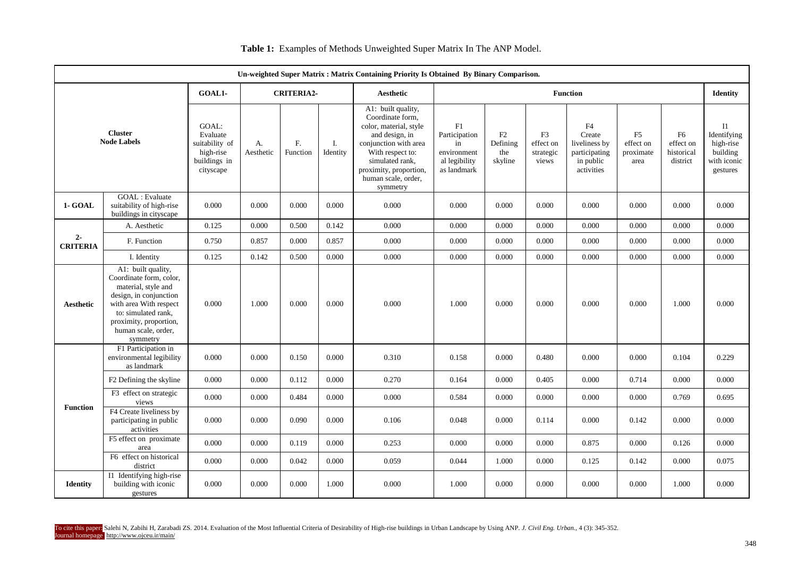| Un-weighted Super Matrix : Matrix Containing Priority Is Obtained By Binary Comparison. |                                                                                                                                                                                                              |                                                                               |                   |                |                |                                                                                                                                                                                                                 |                                                                          |                                                                                                                                                                                                                                      |       |       |       |                                     |                                                                                |
|-----------------------------------------------------------------------------------------|--------------------------------------------------------------------------------------------------------------------------------------------------------------------------------------------------------------|-------------------------------------------------------------------------------|-------------------|----------------|----------------|-----------------------------------------------------------------------------------------------------------------------------------------------------------------------------------------------------------------|--------------------------------------------------------------------------|--------------------------------------------------------------------------------------------------------------------------------------------------------------------------------------------------------------------------------------|-------|-------|-------|-------------------------------------|--------------------------------------------------------------------------------|
| GOAL1-                                                                                  |                                                                                                                                                                                                              |                                                                               | <b>CRITERIA2-</b> |                |                | <b>Aesthetic</b>                                                                                                                                                                                                | <b>Function</b>                                                          |                                                                                                                                                                                                                                      |       |       |       |                                     | <b>Identity</b>                                                                |
|                                                                                         | <b>Cluster</b><br><b>Node Labels</b>                                                                                                                                                                         | GOAL:<br>Evaluate<br>suitability of<br>high-rise<br>buildings in<br>cityscape | А.<br>Aesthetic   | F.<br>Function | Ι.<br>Identity | A1: built quality,<br>Coordinate form,<br>color, material, style<br>and design, in<br>conjunction with area<br>With respect to:<br>simulated rank,<br>proximity, proportion,<br>human scale, order,<br>symmetry | F1<br>Participation<br>in<br>environment<br>al legibility<br>as landmark | ${\rm F}4$<br>Create<br>F2<br>F <sub>3</sub><br>F <sub>5</sub><br>F6<br>Defining<br>effect on<br>liveliness by<br>effect on<br>the<br>strategic<br>participating<br>proximate<br>skyline<br>in public<br>views<br>area<br>activities |       |       |       | effect on<br>historical<br>district | $_{\rm II}$<br>Identifying<br>high-rise<br>building<br>with iconic<br>gestures |
| 1- GOAL                                                                                 | <b>GOAL</b> : Evaluate<br>suitability of high-rise<br>buildings in cityscape                                                                                                                                 | 0.000                                                                         | 0.000             | 0.000          | 0.000          | 0.000                                                                                                                                                                                                           | 0.000                                                                    | 0.000                                                                                                                                                                                                                                | 0.000 | 0.000 | 0.000 | 0.000                               | 0.000                                                                          |
|                                                                                         | A. Aesthetic                                                                                                                                                                                                 | 0.125                                                                         | 0.000             | 0.500          | 0.142          | 0.000                                                                                                                                                                                                           | 0.000                                                                    | 0.000                                                                                                                                                                                                                                | 0.000 | 0.000 | 0.000 | 0.000                               | 0.000                                                                          |
| $2-$<br><b>CRITERIA</b>                                                                 | F. Function                                                                                                                                                                                                  | 0.750                                                                         | 0.857             | 0.000          | 0.857          | 0.000                                                                                                                                                                                                           | 0.000                                                                    | 0.000                                                                                                                                                                                                                                | 0.000 | 0.000 | 0.000 | 0.000                               | 0.000                                                                          |
|                                                                                         | I. Identity                                                                                                                                                                                                  | 0.125                                                                         | 0.142             | 0.500          | 0.000          | 0.000                                                                                                                                                                                                           | 0.000                                                                    | 0.000                                                                                                                                                                                                                                | 0.000 | 0.000 | 0.000 | 0.000                               | 0.000                                                                          |
| <b>Aesthetic</b>                                                                        | A1: built quality,<br>Coordinate form, color,<br>material, style and<br>design, in conjunction<br>with area With respect<br>to: simulated rank,<br>proximity, proportion,<br>human scale, order,<br>symmetry | 0.000                                                                         | 1.000             | 0.000          | 0.000          | 0.000                                                                                                                                                                                                           | 1.000                                                                    | 0.000                                                                                                                                                                                                                                | 0.000 | 0.000 | 0.000 | 1.000                               | 0.000                                                                          |
|                                                                                         | F1 Participation in<br>environmental legibility<br>as landmark                                                                                                                                               | 0.000                                                                         | 0.000             | 0.150          | 0.000          | 0.310                                                                                                                                                                                                           | 0.158                                                                    | 0.000                                                                                                                                                                                                                                | 0.480 | 0.000 | 0.000 | 0.104                               | 0.229                                                                          |
|                                                                                         | F <sub>2</sub> Defining the skyline                                                                                                                                                                          | 0.000                                                                         | 0.000             | 0.112          | 0.000          | 0.270                                                                                                                                                                                                           | 0.164                                                                    | 0.000                                                                                                                                                                                                                                | 0.405 | 0.000 | 0.714 | 0.000                               | 0.000                                                                          |
|                                                                                         | F3 effect on strategic<br>views                                                                                                                                                                              | 0.000                                                                         | 0.000             | 0.484          | 0.000          | 0.000                                                                                                                                                                                                           | 0.584                                                                    | 0.000                                                                                                                                                                                                                                | 0.000 | 0.000 | 0.000 | 0.769                               | 0.695                                                                          |
| <b>Function</b>                                                                         | F4 Create liveliness by<br>participating in public<br>activities                                                                                                                                             | 0.000                                                                         | 0.000             | 0.090          | 0.000          | 0.106                                                                                                                                                                                                           | 0.048                                                                    | 0.000                                                                                                                                                                                                                                | 0.114 | 0.000 | 0.142 | 0.000                               | 0.000                                                                          |
|                                                                                         | F5 effect on proximate<br>area                                                                                                                                                                               | 0.000                                                                         | 0.000             | 0.119          | 0.000          | 0.253                                                                                                                                                                                                           | 0.000                                                                    | 0.000                                                                                                                                                                                                                                | 0.000 | 0.875 | 0.000 | 0.126                               | 0.000                                                                          |
|                                                                                         | F6 effect on historical<br>district                                                                                                                                                                          | 0.000                                                                         | 0.000             | 0.042          | 0.000          | 0.059                                                                                                                                                                                                           | 0.044                                                                    | 1.000                                                                                                                                                                                                                                | 0.000 | 0.125 | 0.142 | 0.000                               | 0.075                                                                          |
| <b>Identity</b>                                                                         | $\overline{11}$ Identifying high-rise<br>building with iconic<br>gestures                                                                                                                                    | 0.000                                                                         | 0.000             | 0.000          | 1.000          | 0.000                                                                                                                                                                                                           | 1.000                                                                    | 0.000                                                                                                                                                                                                                                | 0.000 | 0.000 | 0.000 | 1.000                               | 0.000                                                                          |

**Table 1:** Examples of Methods Unweighted Super Matrix In The ANP Model.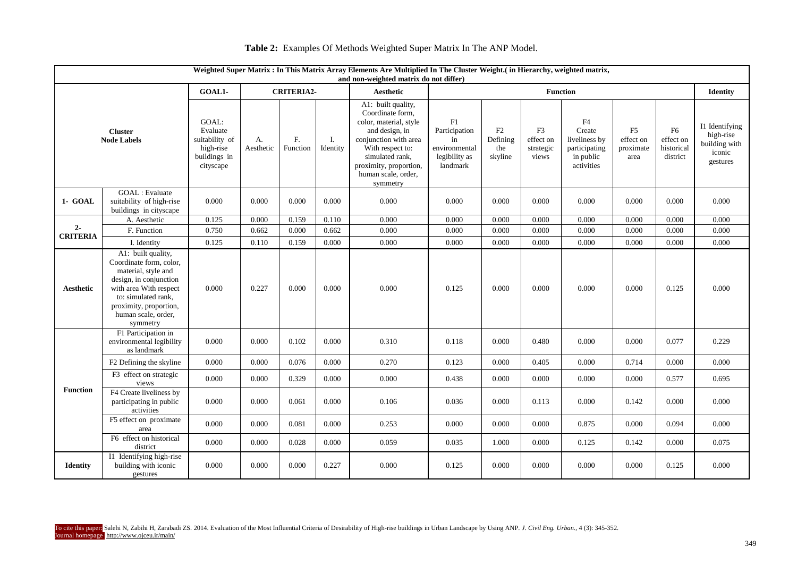| Weighted Super Matrix : In This Matrix Array Elements Are Multiplied In The Cluster Weight.( in Hierarchy, weighted matrix,<br>and non-weighted matrix do not differ) |                                                                                                                                                                                                              |                                                                               |                   |                            |                |                                                                                                                                                                                                                 |                                                                         |                                  |                                       |                                                                           |                                      |                                                   |                                                                    |
|-----------------------------------------------------------------------------------------------------------------------------------------------------------------------|--------------------------------------------------------------------------------------------------------------------------------------------------------------------------------------------------------------|-------------------------------------------------------------------------------|-------------------|----------------------------|----------------|-----------------------------------------------------------------------------------------------------------------------------------------------------------------------------------------------------------------|-------------------------------------------------------------------------|----------------------------------|---------------------------------------|---------------------------------------------------------------------------|--------------------------------------|---------------------------------------------------|--------------------------------------------------------------------|
| GOAL1-                                                                                                                                                                |                                                                                                                                                                                                              |                                                                               | <b>CRITERIA2-</b> |                            |                | Aesthetic                                                                                                                                                                                                       | <b>Function</b>                                                         |                                  |                                       |                                                                           |                                      |                                                   | <b>Identity</b>                                                    |
| <b>Cluster</b><br><b>Node Labels</b>                                                                                                                                  |                                                                                                                                                                                                              | GOAL:<br>Evaluate<br>suitability of<br>high-rise<br>buildings in<br>cityscape | А.<br>Aesthetic   | F <sub>r</sub><br>Function | Ι.<br>Identity | A1: built quality,<br>Coordinate form,<br>color, material, style<br>and design, in<br>conjunction with area<br>With respect to:<br>simulated rank,<br>proximity, proportion,<br>human scale, order,<br>symmetry | F1<br>Participation<br>in<br>environmental<br>legibility as<br>landmark | F2<br>Defining<br>the<br>skyline | F3<br>effect on<br>strategic<br>views | F4<br>Create<br>liveliness by<br>participating<br>in public<br>activities | F5<br>effect on<br>proximate<br>area | ${\rm F6}$<br>effect on<br>historical<br>district | I1 Identifying<br>high-rise<br>building with<br>iconic<br>gestures |
| 1- GOAL                                                                                                                                                               | <b>GOAL</b> : Evaluate<br>suitability of high-rise<br>buildings in cityscape                                                                                                                                 | 0.000                                                                         | 0.000             | 0.000                      | 0.000          | 0.000                                                                                                                                                                                                           | 0.000                                                                   | 0.000                            | 0.000                                 | 0.000                                                                     | 0.000                                | 0.000                                             | 0.000                                                              |
|                                                                                                                                                                       | A. Aesthetic                                                                                                                                                                                                 | 0.125                                                                         | 0.000             | 0.159                      | 0.110          | 0.000                                                                                                                                                                                                           | 0.000                                                                   | 0.000                            | 0.000                                 | 0.000                                                                     | 0.000                                | 0.000                                             | 0.000                                                              |
| $2 -$<br><b>CRITERIA</b>                                                                                                                                              | F. Function                                                                                                                                                                                                  | 0.750                                                                         | 0.662             | 0.000                      | 0.662          | 0.000                                                                                                                                                                                                           | 0.000                                                                   | 0.000                            | 0.000                                 | 0.000                                                                     | 0.000                                | 0.000                                             | 0.000                                                              |
|                                                                                                                                                                       | I. Identity                                                                                                                                                                                                  | 0.125                                                                         | 0.110             | 0.159                      | 0.000          | 0.000                                                                                                                                                                                                           | 0.000                                                                   | 0.000                            | 0.000                                 | 0.000                                                                     | 0.000                                | 0.000                                             | 0.000                                                              |
| Aesthetic                                                                                                                                                             | A1: built quality,<br>Coordinate form, color,<br>material, style and<br>design, in conjunction<br>with area With respect<br>to: simulated rank,<br>proximity, proportion,<br>human scale, order,<br>symmetry | 0.000                                                                         | 0.227             | 0.000                      | 0.000          | 0.000                                                                                                                                                                                                           | 0.125                                                                   | 0.000                            | 0.000                                 | 0.000                                                                     | 0.000                                | 0.125                                             | 0.000                                                              |
|                                                                                                                                                                       | F1 Participation in<br>environmental legibility<br>as landmark                                                                                                                                               | 0.000                                                                         | 0.000             | 0.102                      | 0.000          | 0.310                                                                                                                                                                                                           | 0.118                                                                   | 0.000                            | 0.480                                 | 0.000                                                                     | 0.000                                | 0.077                                             | 0.229                                                              |
|                                                                                                                                                                       | F2 Defining the skyline                                                                                                                                                                                      | 0.000                                                                         | 0.000             | 0.076                      | 0.000          | 0.270                                                                                                                                                                                                           | 0.123                                                                   | 0.000                            | 0.405                                 | 0.000                                                                     | 0.714                                | 0.000                                             | 0.000                                                              |
| <b>Function</b>                                                                                                                                                       | F3 effect on strategic<br>views                                                                                                                                                                              | 0.000                                                                         | 0.000             | 0.329                      | 0.000          | 0.000                                                                                                                                                                                                           | 0.438                                                                   | 0.000                            | 0.000                                 | 0.000                                                                     | 0.000                                | 0.577                                             | 0.695                                                              |
|                                                                                                                                                                       | F4 Create liveliness by<br>participating in public<br>activities                                                                                                                                             | 0.000                                                                         | 0.000             | 0.061                      | 0.000          | 0.106                                                                                                                                                                                                           | 0.036                                                                   | 0.000                            | 0.113                                 | 0.000                                                                     | 0.142                                | 0.000                                             | 0.000                                                              |
|                                                                                                                                                                       | F5 effect on proximate<br>area                                                                                                                                                                               | 0.000                                                                         | 0.000             | 0.081                      | 0.000          | 0.253                                                                                                                                                                                                           | 0.000                                                                   | 0.000                            | 0.000                                 | 0.875                                                                     | 0.000                                | 0.094                                             | 0.000                                                              |
|                                                                                                                                                                       | F6 effect on historical<br>district                                                                                                                                                                          | 0.000                                                                         | 0.000             | 0.028                      | 0.000          | 0.059                                                                                                                                                                                                           | 0.035                                                                   | 1.000                            | 0.000                                 | 0.125                                                                     | 0.142                                | 0.000                                             | 0.075                                                              |
| <b>Identity</b>                                                                                                                                                       | I1 Identifying high-rise<br>building with iconic<br>gestures                                                                                                                                                 | 0.000                                                                         | 0.000             | 0.000                      | 0.227          | 0.000                                                                                                                                                                                                           | 0.125                                                                   | 0.000                            | 0.000                                 | 0.000                                                                     | 0.000                                | 0.125                                             | 0.000                                                              |

# **Table 2:** Examples Of Methods Weighted Super Matrix In The ANP Model.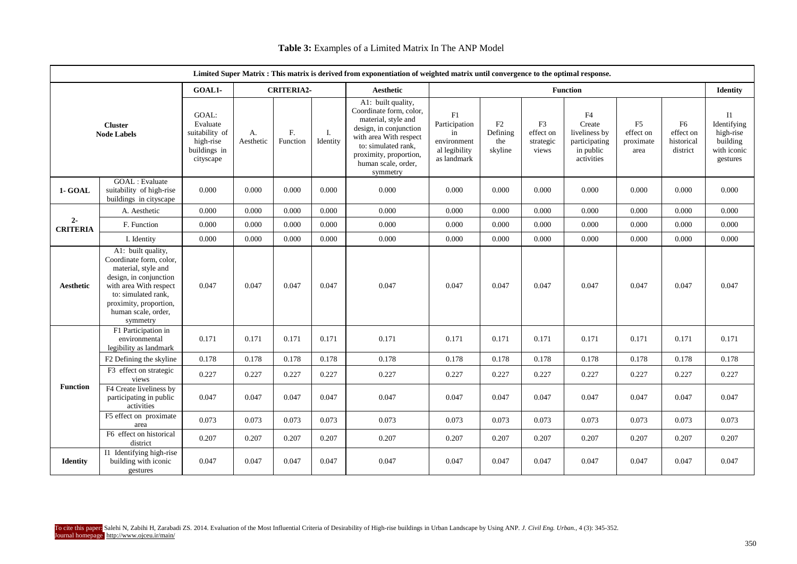| Limited Super Matrix : This matrix is derived from exponentiation of weighted matrix until convergence to the optimal response. |                                                                                                                                                                                                              |                                                                               |                 |                   |                |                                                                                                                                                                                                              |                                                                          |                                  |                                                   |                                                                           |                                                  |                                                       |                                                                              |
|---------------------------------------------------------------------------------------------------------------------------------|--------------------------------------------------------------------------------------------------------------------------------------------------------------------------------------------------------------|-------------------------------------------------------------------------------|-----------------|-------------------|----------------|--------------------------------------------------------------------------------------------------------------------------------------------------------------------------------------------------------------|--------------------------------------------------------------------------|----------------------------------|---------------------------------------------------|---------------------------------------------------------------------------|--------------------------------------------------|-------------------------------------------------------|------------------------------------------------------------------------------|
|                                                                                                                                 |                                                                                                                                                                                                              | GOAL1-                                                                        |                 | <b>CRITERIA2-</b> |                | <b>Aesthetic</b>                                                                                                                                                                                             |                                                                          |                                  | Identity                                          |                                                                           |                                                  |                                                       |                                                                              |
| <b>Cluster</b><br><b>Node Labels</b>                                                                                            |                                                                                                                                                                                                              | GOAL:<br>Evaluate<br>suitability of<br>high-rise<br>buildings in<br>cityscape | A.<br>Aesthetic | F.<br>Function    | Ι.<br>Identity | A1: built quality,<br>Coordinate form, color,<br>material, style and<br>design, in conjunction<br>with area With respect<br>to: simulated rank,<br>proximity, proportion,<br>human scale, order,<br>symmetry | F1<br>Participation<br>in<br>environment<br>al legibility<br>as landmark | F2<br>Defining<br>the<br>skyline | F <sub>3</sub><br>effect on<br>strategic<br>views | F4<br>Create<br>liveliness by<br>participating<br>in public<br>activities | F <sub>5</sub><br>effect on<br>proximate<br>area | F <sub>6</sub><br>effect on<br>historical<br>district | <b>I1</b><br>Identifying<br>high-rise<br>building<br>with iconic<br>gestures |
| 1- GOAL                                                                                                                         | GOAL : Evaluate<br>suitability of high-rise<br>buildings in cityscape                                                                                                                                        | 0.000                                                                         | 0.000           | 0.000             | 0.000          | 0.000                                                                                                                                                                                                        | 0.000                                                                    | 0.000                            | 0.000                                             | 0.000                                                                     | 0.000                                            | 0.000                                                 | 0.000                                                                        |
|                                                                                                                                 | A. Aesthetic                                                                                                                                                                                                 | 0.000                                                                         | 0.000           | 0.000             | 0.000          | 0.000                                                                                                                                                                                                        | 0.000                                                                    | 0.000                            | 0.000                                             | 0.000                                                                     | 0.000                                            | 0.000                                                 | 0.000                                                                        |
| $2 -$<br><b>CRITERIA</b>                                                                                                        | F. Function                                                                                                                                                                                                  | 0.000                                                                         | 0.000           | 0.000             | 0.000          | 0.000                                                                                                                                                                                                        | 0.000                                                                    | 0.000                            | 0.000                                             | 0.000                                                                     | 0.000                                            | 0.000                                                 | 0.000                                                                        |
|                                                                                                                                 | I. Identity                                                                                                                                                                                                  | 0.000                                                                         | 0.000           | 0.000             | 0.000          | 0.000                                                                                                                                                                                                        | 0.000                                                                    | 0.000                            | 0.000                                             | 0.000                                                                     | 0.000                                            | 0.000                                                 | 0.000                                                                        |
| Aesthetic                                                                                                                       | A1: built quality,<br>Coordinate form, color,<br>material, style and<br>design, in conjunction<br>with area With respect<br>to: simulated rank,<br>proximity, proportion,<br>human scale, order,<br>symmetry | 0.047                                                                         | 0.047           | 0.047             | 0.047          | 0.047                                                                                                                                                                                                        | 0.047                                                                    | 0.047                            | 0.047                                             | 0.047                                                                     | 0.047                                            | 0.047                                                 | 0.047                                                                        |
|                                                                                                                                 | F1 Participation in<br>environmental<br>legibility as landmark                                                                                                                                               | 0.171                                                                         | 0.171           | 0.171             | 0.171          | 0.171                                                                                                                                                                                                        | 0.171                                                                    | 0.171                            | 0.171                                             | 0.171                                                                     | 0.171                                            | 0.171                                                 | 0.171                                                                        |
|                                                                                                                                 | F2 Defining the skyline                                                                                                                                                                                      | 0.178                                                                         | 0.178           | 0.178             | 0.178          | 0.178                                                                                                                                                                                                        | 0.178                                                                    | 0.178                            | 0.178                                             | 0.178                                                                     | 0.178                                            | 0.178                                                 | 0.178                                                                        |
| <b>Function</b>                                                                                                                 | F3 effect on strategic<br>views                                                                                                                                                                              | 0.227                                                                         | 0.227           | 0.227             | 0.227          | 0.227                                                                                                                                                                                                        | 0.227                                                                    | 0.227                            | 0.227                                             | 0.227                                                                     | 0.227                                            | 0.227                                                 | 0.227                                                                        |
|                                                                                                                                 | F4 Create liveliness by<br>participating in public<br>activities                                                                                                                                             | 0.047                                                                         | 0.047           | 0.047             | 0.047          | 0.047                                                                                                                                                                                                        | 0.047                                                                    | 0.047                            | 0.047                                             | 0.047                                                                     | 0.047                                            | 0.047                                                 | 0.047                                                                        |
|                                                                                                                                 | F5 effect on proximate<br>area                                                                                                                                                                               | 0.073                                                                         | 0.073           | 0.073             | 0.073          | 0.073                                                                                                                                                                                                        | 0.073                                                                    | 0.073                            | 0.073                                             | 0.073                                                                     | 0.073                                            | 0.073                                                 | 0.073                                                                        |
|                                                                                                                                 | F6 effect on historical<br>district                                                                                                                                                                          | 0.207                                                                         | 0.207           | 0.207             | 0.207          | 0.207                                                                                                                                                                                                        | 0.207                                                                    | 0.207                            | 0.207                                             | 0.207                                                                     | 0.207                                            | 0.207                                                 | 0.207                                                                        |
| <b>Identity</b>                                                                                                                 | Il Identifying high-rise<br>building with iconic<br>gestures                                                                                                                                                 | 0.047                                                                         | 0.047           | 0.047             | 0.047          | 0.047                                                                                                                                                                                                        | 0.047                                                                    | 0.047                            | 0.047                                             | 0.047                                                                     | 0.047                                            | 0.047                                                 | 0.047                                                                        |

# **Table 3:** Examples of a Limited Matrix In The ANP Model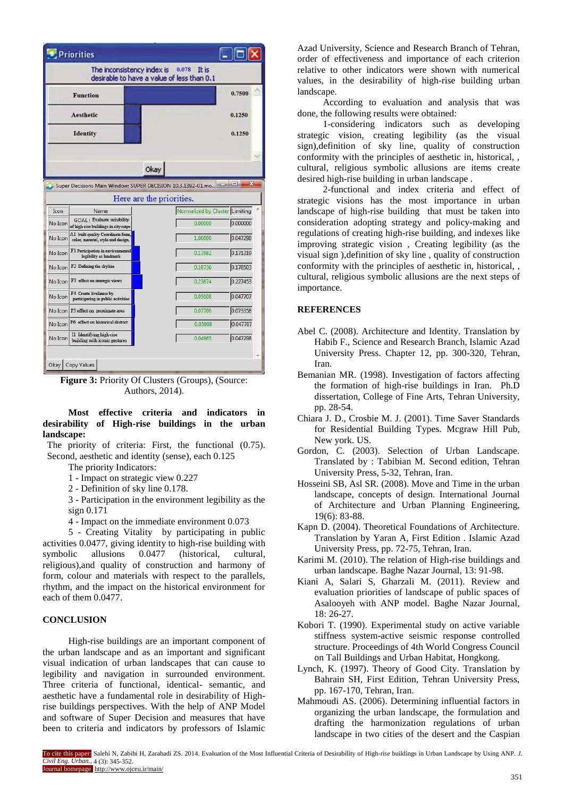|         | Priorities                                                            |                                                                                        |                  |
|---------|-----------------------------------------------------------------------|----------------------------------------------------------------------------------------|------------------|
|         |                                                                       | The inconsistency index is $0.078$ It is<br>desirable to have a value of less than 0.1 |                  |
|         | 0.7500                                                                |                                                                                        |                  |
|         | Aesthetic                                                             |                                                                                        | 0.1250           |
|         | <b>Identity</b>                                                       |                                                                                        | 0.1250           |
|         |                                                                       |                                                                                        |                  |
|         |                                                                       | Okay                                                                                   |                  |
|         |                                                                       | Super Decisions Main Window: SUPER DECISION 10.3.1392-01.mo                            | $\mathbf x$<br>叵 |
|         |                                                                       | Here are the priorities.                                                               |                  |
| Icon    | Name                                                                  | Normalized by Cluster Limiting                                                         |                  |
| No Icon | GOAL: Evaluate suitability<br>of high-rise buildings in cityscape     | 0.00000                                                                                | 0.000000         |
| No Icon | Al built quality Coordinate form<br>color, material, style and design | 1.00000                                                                                | 0.047298         |
| No Icon | F1 Participation in environmental<br>legibility as landmark           | 0.17982                                                                                | 0.171319         |
| No Icon | F2 Defining the skyline                                               | 0.18736                                                                                | 0.178503         |
| No Icon | F3 effect on strategic views                                          | 0.23874                                                                                | 0.227453         |
| No Icon | F4 Create liveliness by<br>participating in public activities         | 0.05008                                                                                | 0.047707         |
|         | No Icon F5 effect on proximate area                                   | 0.07700                                                                                | 0.073358         |
| No Icon | F6 effect on historical district                                      | 0.05008                                                                                | 0.047707         |
| No Icon | Il Identifying high-rise<br>building with iconic gestures             | 0.04965                                                                                | 0.047298         |
|         |                                                                       |                                                                                        |                  |
| Okay    | Copy Values                                                           |                                                                                        |                  |

**Figure 3:** Priority Of Clusters (Groups), (Source: Authors, 2014).

**Most effective criteria and indicators in desirability of High-rise buildings in the urban landscape:**

The priority of criteria: First, the functional (0.75). Second, aesthetic and identity (sense), each 0.125

The priority Indicators:

- 1 Impact on strategic view 0.227
- 2 Definition of sky line 0.178.

3 - Participation in the environment legibility as the sign 0.171

4 - Impact on the immediate environment 0.073

5 - Creating Vitality by participating in public activities 0.0477, giving identity to high-rise building with symbolic allusions 0.0477 (historical, cultural, religious),and quality of construction and harmony of form, colour and materials with respect to the parallels, rhythm, and the impact on the historical environment for each of them 0.0477.

#### **CONCLUSION**

High-rise buildings are an important component of the urban landscape and as an important and significant visual indication of urban landscapes that can cause to legibility and navigation in surrounded environment. Three criteria of functional, identical- semantic, and aesthetic have a fundamental role in desirability of Highrise buildings perspectives. With the help of ANP Model and software of Super Decision and measures that have been to criteria and indicators by professors of Islamic

Azad University, Science and Research Branch of Tehran, order of effectiveness and importance of each criterion relative to other indicators were shown with numerical values, in the desirability of high-rise building urban landscape.

According to evaluation and analysis that was done, the following results were obtained:

1-considering indicators such as developing strategic vision, creating legibility (as the visual sign),definition of sky line, quality of construction conformity with the principles of aesthetic in, historical, , cultural, religious symbolic allusions are items create desired high-rise building in urban landscape .

2-functional and index criteria and effect of strategic visions has the most importance in urban landscape of high-rise building that must be taken into consideration adopting strategy and policy-making and regulations of creating high-rise building, and indexes like improving strategic vision , Creating legibility (as the visual sign ),definition of sky line , quality of construction conformity with the principles of aesthetic in, historical, , cultural, religious symbolic allusions are the next steps of importance.

#### **REFERENCES**

- Abel C. (2008). Architecture and Identity. Translation by Habib F., Science and Research Branch, Islamic Azad University Press. Chapter 12, pp. 300-320, Tehran, Iran.
- Bemanian MR. (1998). Investigation of factors affecting the formation of high-rise buildings in Iran. Ph.D dissertation, College of Fine Arts, Tehran University, pp. 28-54.
- Chiara J. D., Crosbie M. J. (2001). Time Saver Standards for Residential Building Types. Mcgraw Hill Pub, New york. US.
- Gordon, C. (2003). Selection of Urban Landscape. Translated by : Tabibian M. Second edition, Tehran University Press, 5-32, Tehran, Iran.
- Hosseini SB, Asl SR. (2008). Move and Time in the urban landscape, concepts of design. International Journal of Architecture and Urban Planning Engineering, 19(6): 83-88.
- Kapn D. (2004). Theoretical Foundations of Architecture. Translation by Yaran A, First Edition . Islamic Azad University Press, pp. 72-75, Tehran, Iran.
- Karimi M. (2010). The relation of High-rise buildings and urban landscape. Baghe Nazar Journal, 13: 91-98.
- Kiani A, Salari S, Gharzali M. (2011). Review and evaluation priorities of landscape of public spaces of Asalooyeh with ANP model. Baghe Nazar Journal, 18: 26-27.
- Kobori T. (1990). Experimental study on active variable stiffness system-active seismic response controlled structure. Proceedings of 4th World Congress Council on Tall Buildings and Urban Habitat, Hongkong.
- Lynch, K. (1997). Theory of Good City. Translation by Bahrain SH, First Edition, Tehran University Press, pp. 167-170, Tehran, Iran.
- Mahmoudi AS. (2006). Determining influential factors in organizing the urban landscape, the formulation and drafting the harmonization regulations of urban landscape in two cities of the desert and the Caspian